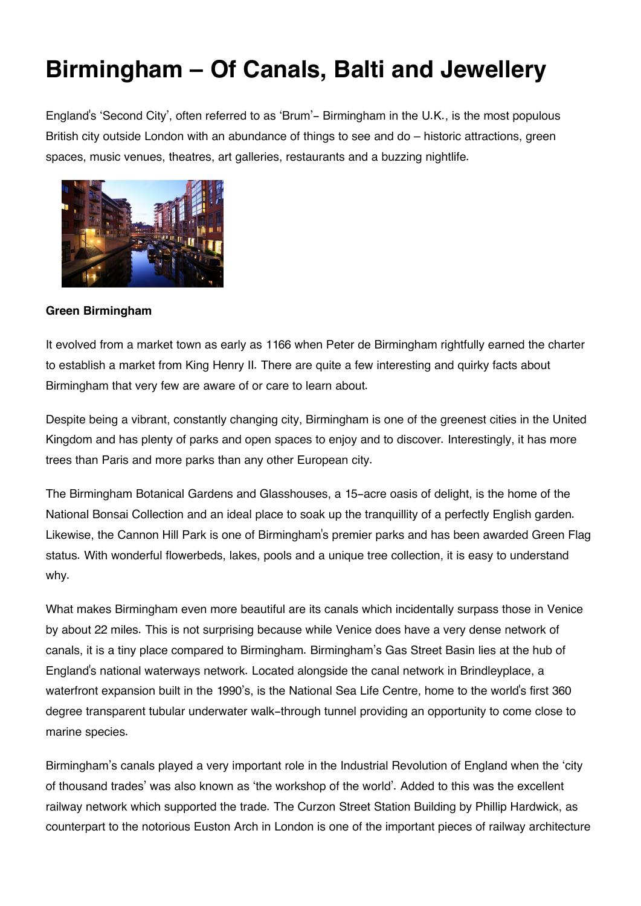# **Birmingham – Of Canals, Balti and Jewellery**

England's 'Second City', often referred to as 'Brum'- Birmingham in the U.K., is the most populous British city outside London with an abundance of things to see and do – historic attractions, green spaces, music venues, theatres, art galleries, restaurants and a buzzing nightlife.



### **Green Birmingham**

It evolved from a market town as early as 1166 when Peter de Birmingham rightfully earned the charter to establish a market from King Henry II. There are quite a few interesting and quirky facts about Birmingham that very few are aware of or care to learn about.

Despite being a vibrant, constantly changing city, Birmingham is one of the greenest cities in the United Kingdom and has plenty of parks and open spaces to enjoy and to discover. Interestingly, it has more trees than Paris and more parks than any other European city.

The Birmingham Botanical Gardens and Glasshouses, a 15-acre oasis of delight, is the home of the National Bonsai Collection and an ideal place to soak up the tranquillity of a perfectly English garden. Likewise, the Cannon Hill Park is one of Birmingham's premier parks and has been awarded Green Flag status. With wonderful flowerbeds, lakes, pools and a unique tree collection, it is easy to understand why.

What makes Birmingham even more beautiful are its canals which incidentally surpass those in Venice by about 22 miles. This is not surprising because while Venice does have a very dense network of canals, it is a tiny place compared to Birmingham. Birmingham's Gas Street Basin lies at the hub of England's national waterways network. Located alongside the canal network in Brindleyplace, a waterfront expansion built in the 1990's, is the National Sea Life Centre, home to the world's first 360 degree transparent tubular underwater walk-through tunnel providing an opportunity to come close to marine species.

Birmingham's canals played a very important role in the Industrial Revolution of England when the 'city of thousand trades' was also known as 'the workshop of the world'. Added to this was the excellent railway network which supported the trade. The Curzon Street Station Building by Phillip Hardwick, as counterpart to the notorious Euston Arch in London is one of the important pieces of railway architecture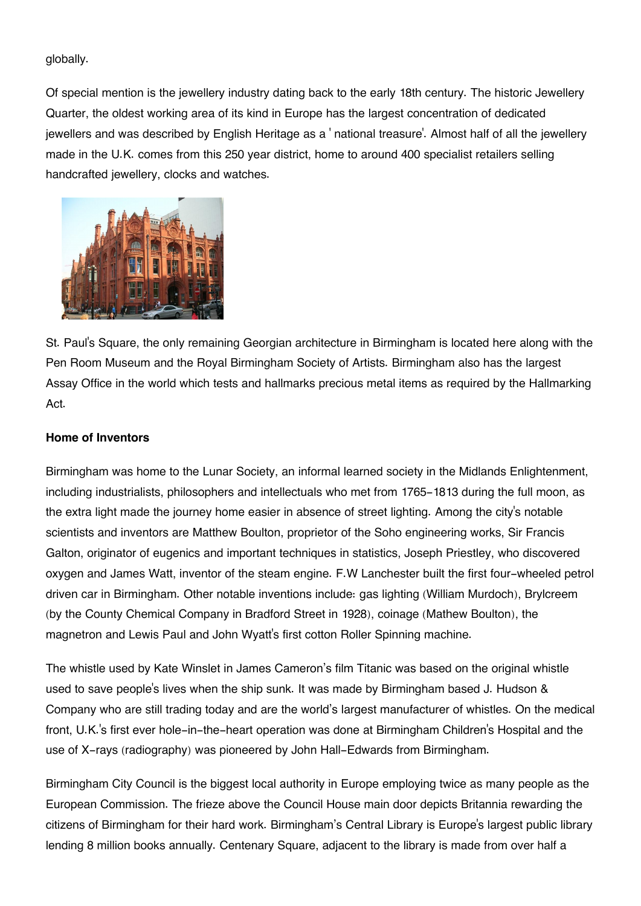globally.

Of special mention is the jewellery industry dating back to the early 18th century. The historic Jewellery Quarter, the oldest working area of its kind in Europe has the largest concentration of dedicated jewellers and was described by English Heritage as a ' national treasure'. Almost half of all the jewellery made in the U.K. comes from this 250 year district, home to around 400 specialist retailers selling handcrafted jewellery, clocks and watches.



St. Paul's Square, the only remaining Georgian architecture in Birmingham is located here along with the Pen Room Museum and the Royal Birmingham Society of Artists. Birmingham also has the largest Assay Office in the world which tests and hallmarks precious metal items as required by the Hallmarking Act.

#### **Home of Inventors**

Birmingham was home to the Lunar Society, an informal learned society in the Midlands Enlightenment, including industrialists, philosophers and intellectuals who met from 1765-1813 during the full moon, as the extra light made the journey home easier in absence of street lighting. Among the city's notable scientists and inventors are Matthew Boulton, proprietor of the Soho engineering works, Sir Francis Galton, originator of eugenics and important techniques in statistics, Joseph Priestley, who discovered oxygen and James Watt, inventor of the steam engine. F.W Lanchester built the first four-wheeled petrol driven car in Birmingham. Other notable inventions include: gas lighting (William Murdoch), Brylcreem (by the County Chemical Company in Bradford Street in 1928), coinage (Mathew Boulton), the magnetron and Lewis Paul and John Wyatt's first cotton Roller Spinning machine.

The whistle used by Kate Winslet in James Cameron's film Titanic was based on the original whistle used to save people's lives when the ship sunk. It was made by Birmingham based J. Hudson & Company who are still trading today and are the world's largest manufacturer of whistles. On the medical front, U.K.'s first ever hole-in-the-heart operation was done at Birmingham Children's Hospital and the use of X-rays (radiography) was pioneered by John Hall-Edwards from Birmingham.

Birmingham City Council is the biggest local authority in Europe employing twice as many people as the European Commission. The frieze above the Council House main door depicts Britannia rewarding the citizens of Birmingham for their hard work. Birmingham's Central Library is Europe's largest public library lending 8 million books annually. Centenary Square, adjacent to the library is made from over half a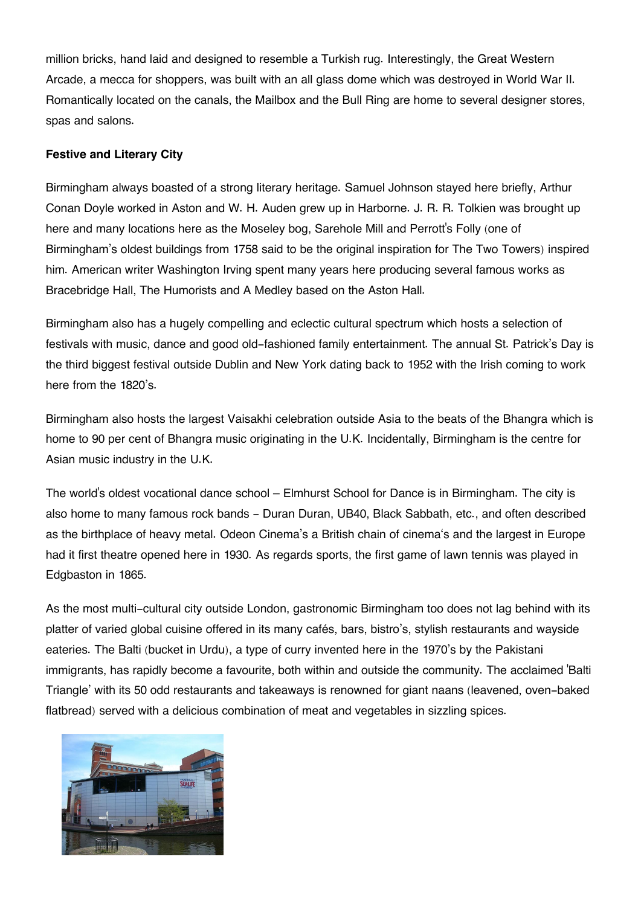million bricks, hand laid and designed to resemble a Turkish rug. Interestingly, the Great Western Arcade, a mecca for shoppers, was built with an all glass dome which was destroyed in World War II. Romantically located on the canals, the Mailbox and the Bull Ring are home to several designer stores, spas and salons.

## **Festive and Literary City**

Birmingham always boasted of a strong literary heritage. Samuel Johnson stayed here briefly, Arthur Conan Doyle worked in Aston and W. H. Auden grew up in Harborne. J. R. R. Tolkien was brought up here and many locations here as the Moseley bog, Sarehole Mill and Perrott's Folly (one of Birmingham's oldest buildings from 1758 said to be the original inspiration for The Two Towers) inspired him. American writer Washington Irving spent many years here producing several famous works as Bracebridge Hall, The Humorists and A Medley based on the Aston Hall.

Birmingham also has a hugely compelling and eclectic cultural spectrum which hosts a selection of festivals with music, dance and good old-fashioned family entertainment. The annual St. Patrick's Day is the third biggest festival outside Dublin and New York dating back to 1952 with the Irish coming to work here from the 1820's.

Birmingham also hosts the largest Vaisakhi celebration outside Asia to the beats of the Bhangra which is home to 90 per cent of Bhangra music originating in the U.K. Incidentally, Birmingham is the centre for Asian music industry in the U.K.

The world's oldest vocational dance school – Elmhurst School for Dance is in Birmingham. The city is also home to many famous rock bands - Duran Duran, UB40, Black Sabbath, etc., and often described as the birthplace of heavy metal. Odeon Cinema's a British chain of cinema's and the largest in Europe had it first theatre opened here in 1930. As regards sports, the first game of lawn tennis was played in Edgbaston in 1865.

As the most multi-cultural city outside London, gastronomic Birmingham too does not lag behind with its platter of varied global cuisine offered in its many cafés, bars, bistro's, stylish restaurants and wayside eateries. The Balti (bucket in Urdu), a type of curry invented here in the 1970's by the Pakistani immigrants, has rapidly become a favourite, both within and outside the community. The acclaimed 'Balti Triangle' with its 50 odd restaurants and takeaways is renowned for giant naans (leavened, oven-baked flatbread) served with a delicious combination of meat and vegetables in sizzling spices.